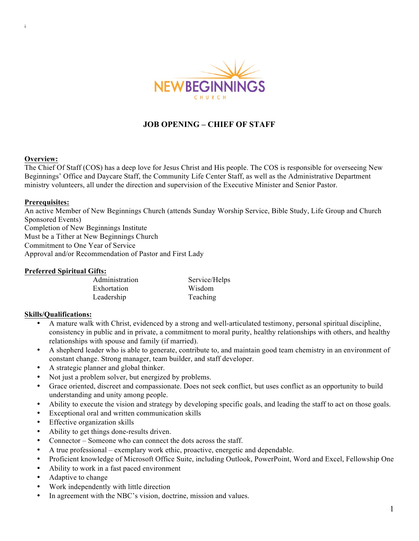

# **JOB OPENING – CHIEF OF STAFF**

#### **Overview:**

i

The Chief Of Staff (COS) has a deep love for Jesus Christ and His people. The COS is responsible for overseeing New Beginnings' Office and Daycare Staff, the Community Life Center Staff, as well as the Administrative Department ministry volunteers, all under the direction and supervision of the Executive Minister and Senior Pastor.

#### **Prerequisites:**

An active Member of New Beginnings Church (attends Sunday Worship Service, Bible Study, Life Group and Church Sponsored Events) Completion of New Beginnings Institute Must be a Tither at New Beginnings Church Commitment to One Year of Service Approval and/or Recommendation of Pastor and First Lady

#### **Preferred Spiritual Gifts:**

| Administration | Service/Helps |
|----------------|---------------|
| Exhortation    | Wisdom        |
| Leadership     | Teaching      |

#### **Skills/Qualifications:**

- A mature walk with Christ, evidenced by a strong and well-articulated testimony, personal spiritual discipline, consistency in public and in private, a commitment to moral purity, healthy relationships with others, and healthy relationships with spouse and family (if married).
- A shepherd leader who is able to generate, contribute to, and maintain good team chemistry in an environment of constant change. Strong manager, team builder, and staff developer.
- A strategic planner and global thinker.
- Not just a problem solver, but energized by problems.
- Grace oriented, discreet and compassionate. Does not seek conflict, but uses conflict as an opportunity to build understanding and unity among people.
- Ability to execute the vision and strategy by developing specific goals, and leading the staff to act on those goals.
- Exceptional oral and written communication skills
- Effective organization skills
- Ability to get things done-results driven.
- Connector Someone who can connect the dots across the staff.
- A true professional exemplary work ethic, proactive, energetic and dependable.
- Proficient knowledge of Microsoft Office Suite, including Outlook, PowerPoint, Word and Excel, Fellowship One
- Ability to work in a fast paced environment
- Adaptive to change
- Work independently with little direction
- In agreement with the NBC's vision, doctrine, mission and values.